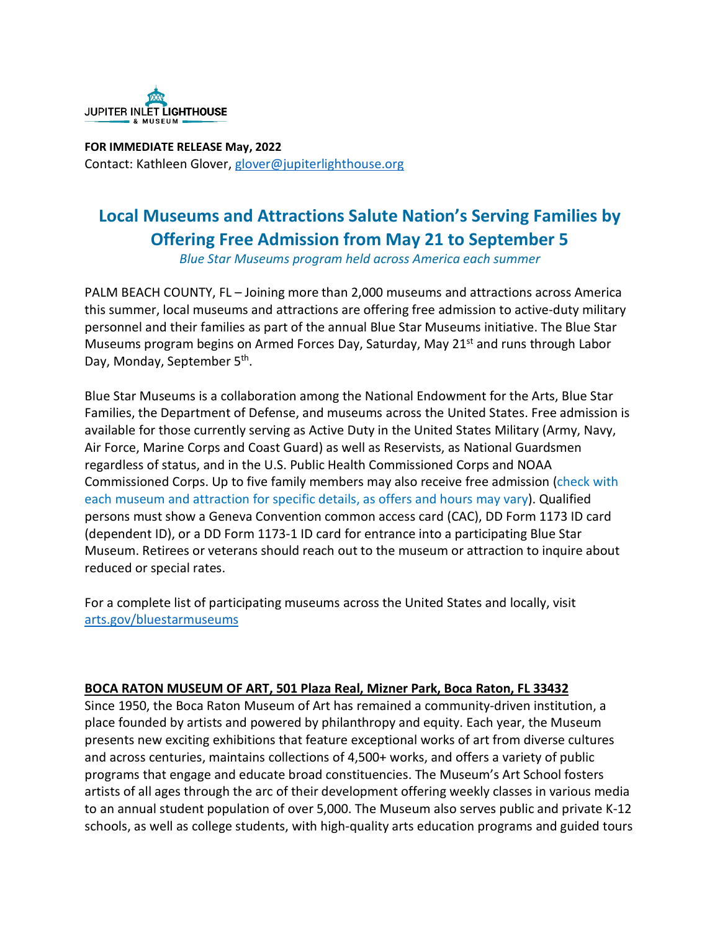

**FOR IMMEDIATE RELEASE May, 2022**  Contact: Kathleen Glover, [glover@jupiterlighthouse.org](mailto:glover@jupiterlighthouse.org)

# **Local Museums and Attractions Salute Nation's Serving Families by Offering Free Admission from May 21 to September 5**

*Blue Star Museums program held across America each summer*

PALM BEACH COUNTY, FL – Joining more than 2,000 museums and attractions across America this summer, local museums and attractions are offering free admission to active-duty military personnel and their families as part of the annual Blue Star Museums initiative. The Blue Star Museums program begins on Armed Forces Day, Saturday, May  $21^{st}$  and runs through Labor Day, Monday, September 5<sup>th</sup>.

Blue Star Museums is a collaboration among the National Endowment for the Arts, Blue Star Families, the Department of Defense, and museums across the United States. Free admission is available for those currently serving as Active Duty in the United States Military (Army, Navy, Air Force, Marine Corps and Coast Guard) as well as Reservists, as National Guardsmen regardless of status, and in the U.S. Public Health Commissioned Corps and NOAA Commissioned Corps. Up to five family members may also receive free admission (check with each museum and attraction for specific details, as offers and hours may vary). Qualified persons must show a Geneva Convention common access card (CAC), DD Form 1173 ID card (dependent ID), or a DD Form 1173-1 ID card for entrance into a participating Blue Star Museum. Retirees or veterans should reach out to the museum or attraction to inquire about reduced or special rates.

For a complete list of participating museums across the United States and locally, visit [arts.gov/bluestarmuseums](http://arts.gov/bluestarmuseums)

# **BOCA RATON MUSEUM OF ART, 501 Plaza Real, Mizner Park, Boca Raton, FL 33432**

Since 1950, the Boca Raton Museum of Art has remained a community-driven institution, a place founded by artists and powered by philanthropy and equity. Each year, the Museum presents new exciting exhibitions that feature exceptional works of art from diverse cultures and across centuries, maintains collections of 4,500+ works, and offers a variety of public programs that engage and educate broad constituencies. The Museum's Art School fosters artists of all ages through the arc of their development offering weekly classes in various media to an annual student population of over 5,000. The Museum also serves public and private K-12 schools, as well as college students, with high-quality arts education programs and guided tours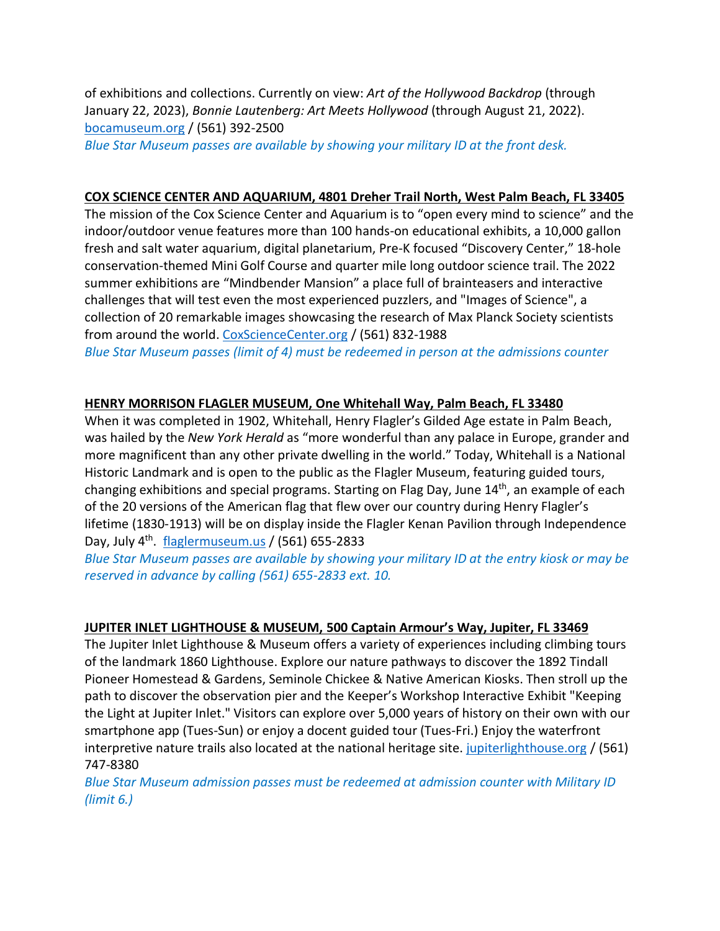of exhibitions and collections. Currently on view: *Art of the Hollywood Backdrop* (through January 22, 2023), *Bonnie Lautenberg: Art Meets Hollywood* (through August 21, 2022). [bocamuseum.org](http://bocamuseum.org/) / (561) 392-2500

*Blue Star Museum passes are available by showing your military ID at the front desk.*

### **COX SCIENCE CENTER AND AQUARIUM, 4801 Dreher Trail North, West Palm Beach, FL 33405**

The mission of the Cox Science Center and Aquarium is to "open every mind to science" and the indoor/outdoor venue features more than 100 hands-on educational exhibits, a 10,000 gallon fresh and salt water aquarium, digital planetarium, Pre-K focused "Discovery Center," 18-hole conservation-themed Mini Golf Course and quarter mile long outdoor science trail. The 2022 summer exhibitions are "Mindbender Mansion" a place full of brainteasers and interactive challenges that will test even the most experienced puzzlers, and "Images of Science", a collection of 20 remarkable images showcasing the research of Max Planck Society scientists from around the world. [CoxScienceCenter.org](http://coxsciencecenter.org/) / (561) 832-1988 *Blue Star Museum passes (limit of 4) must be redeemed in person at the admissions counter*

#### **HENRY MORRISON FLAGLER MUSEUM, One Whitehall Way, Palm Beach, FL 33480**

When it was completed in 1902, Whitehall, Henry Flagler's Gilded Age estate in Palm Beach, was hailed by the *New York Herald* as "more wonderful than any palace in Europe, grander and more magnificent than any other private dwelling in the world." Today, Whitehall is a National Historic Landmark and is open to the public as the Flagler Museum, featuring guided tours, changing exhibitions and special programs. Starting on Flag Day, June 14<sup>th</sup>, an example of each of the 20 versions of the American flag that flew over our country during Henry Flagler's lifetime (1830-1913) will be on display inside the Flagler Kenan Pavilion through Independence Day, July  $4^{\text{th}}$ . [flaglermuseum.us](http://flaglermuseum.us/) / (561) 655-2833

*Blue Star Museum passes are available by showing your military ID at the entry kiosk or may be reserved in advance by calling (561) 655-2833 ext. 10.*

#### **JUPITER INLET LIGHTHOUSE & MUSEUM, 500 Captain Armour's Way, Jupiter, FL 33469**

The Jupiter Inlet Lighthouse & Museum offers a variety of experiences including climbing tours of the landmark 1860 Lighthouse. Explore our nature pathways to discover the 1892 Tindall Pioneer Homestead & Gardens, Seminole Chickee & Native American Kiosks. Then stroll up the path to discover the observation pier and the Keeper's Workshop Interactive Exhibit "Keeping the Light at Jupiter Inlet." Visitors can explore over 5,000 years of history on their own with our smartphone app (Tues-Sun) or enjoy a docent guided tour (Tues-Fri.) Enjoy the waterfront interpretive nature trails also located at the national heritage site. [jupiterlighthouse.org](http://www.jupiterlighthouse.org/) / (561) 747-8380

*Blue Star Museum admission passes must be redeemed at admission counter with Military ID (limit 6.)*